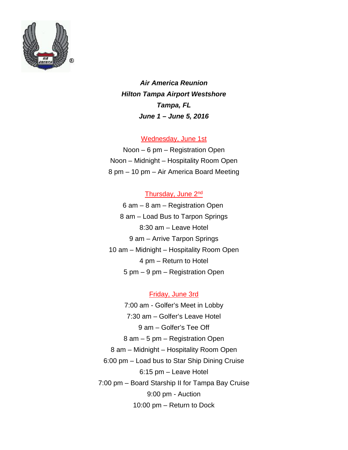

*Air America Reunion Hilton Tampa Airport Westshore Tampa, FL June 1 – June 5, 2016*

## Wednesday, June 1st

Noon – 6 pm – Registration Open Noon – Midnight – Hospitality Room Open 8 pm – 10 pm – Air America Board Meeting

## Thursday, June 2nd

6 am – 8 am – Registration Open 8 am – Load Bus to Tarpon Springs 8:30 am – Leave Hotel 9 am – Arrive Tarpon Springs 10 am – Midnight – Hospitality Room Open 4 pm – Return to Hotel 5 pm – 9 pm – Registration Open

## Friday, June 3rd

7:00 am - Golfer's Meet in Lobby 7:30 am – Golfer's Leave Hotel 9 am – Golfer's Tee Off 8 am – 5 pm – Registration Open 8 am – Midnight – Hospitality Room Open 6:00 pm – Load bus to Star Ship Dining Cruise 6:15 pm – Leave Hotel 7:00 pm – Board Starship II for Tampa Bay Cruise 9:00 pm - Auction 10:00 pm – Return to Dock